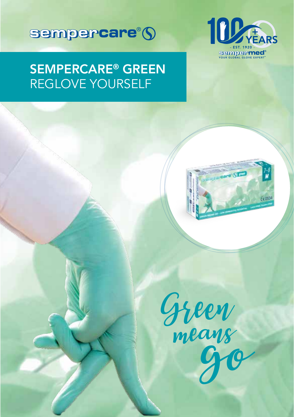



# SEMPERCARE® GREEN REGLOVE YOURSELF



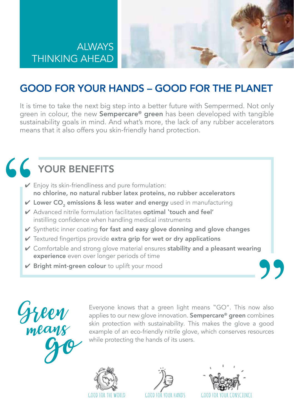



## GOOD FOR YOUR HANDS – GOOD FOR THE PLANET

It is time to take the next big step into a better future with Sempermed. Not only green in colour, the new **Sempercare<sup>®</sup> green** has been developed with tangible sustainability goals in mind. And what's more, the lack of any rubber accelerators means that it also offers you skin-friendly hand protection.

# 66 YOUR BENEFITS

- $\vee$  Enjoy its skin-friendliness and pure formulation: no chlorine, no natural rubber latex proteins, no rubber accelerators
- $\vee$  Lower CO<sub>2</sub> emissions & less water and energy used in manufacturing
- ✔ Advanced nitrile formulation facilitates optimal 'touch and feel' instilling confidence when handling medical instruments
- $\vee$  Synthetic inner coating for fast and easy glove donning and glove changes
- $\vee$  Textured fingertips provide extra grip for wet or dry applications
- $\vee$  Comfortable and strong glove material ensures stability and a pleasant wearing experience even over longer periods of time
- $\nu$  Bright mint-green colour to uplift your mood



Evervone knows that a green light means "GO". This now also applies to our new glove innovation. **Sempercare<sup>®</sup> green** combines skin protection with sustainability. This makes the glove a good example of an eco-friendly nitrile glove, which conserves resources while protecting the hands of its users.





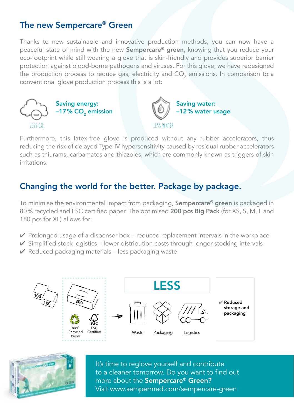### The new Sempercare® Green

Thanks to new sustainable and innovative production methods, you can now have a peaceful state of mind with the new Sempercare® green, knowing that you reduce your eco-footprint while still wearing a glove that is skin-friendly and provides superior barrier protection against blood-borne pathogens and viruses. For this glove, we have redesigned the production process to reduce gas, electricity and CO $_2$  emissions. In comparison to a conventional glove production process this is a lot:



Furthermore, this latex-free glove is produced without any rubber accelerators, thus reducing the risk of delayed Type-IV hypersensitivity caused by residual rubber accelerators such as thiurams, carbamates and thiazoles, which are commonly known as triggers of skin irritations.

### Changing the world for the better. Package by package.

To minimise the environmental impact from packaging, Sempercare® green is packaged in 80% recycled and FSC certified paper. The optimised 200 pcs Big Pack (for XS, S, M, L and 180 pcs for XL) allows for:

- $\vee$  Prolonged usage of a dispenser box reduced replacement intervals in the workplace
- $\checkmark$  Simplified stock logistics lower distribution costs through longer stocking intervals
- $\vee$  Reduced packaging materials less packaging waste





It's time to reglove yourself and contribute to a cleaner tomorrow. Do you want to find out more about the Sempercare® Green? Visit www.sempermed.com/sempercare-green